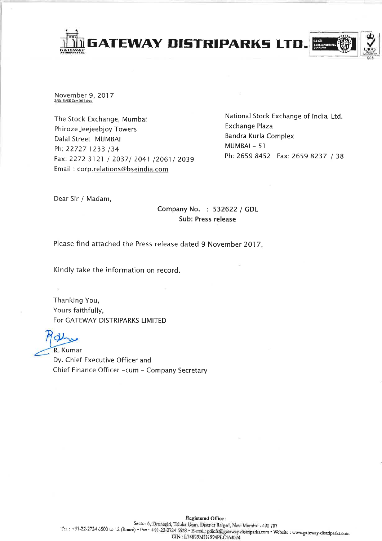

November 9, 2017 Z:\St\_Ex\SE Corr 2017 doc>

The Stock Exchange, Mumbai Phiroze Jeejeebjoy Towers Dalal Street MUMBAI Ph: 22727 1233 /34 Fax: 2272 3121 / 2037/ 2041 /2061/ 2039 Email: corp.relations@bseindia.com

National Stock Exchange of India. Ltd. **Exchange Plaza** Bandra Kurla Complex MUMBAI-51 Ph: 2659 8452 Fax: 2659 8237 / 38

Dear Sir / Madam,

Company No. : 532622 / GDL Sub: Press release

Please find attached the Press release dated 9 November 2017.

Kindly take the information on record.

Thanking You, Yours faithfully, For GATEWAY DISTRIPARKS LIMITED

R. Kumar

Dy. Chief Executive Officer and Chief Finance Officer -cum - Company Secretary